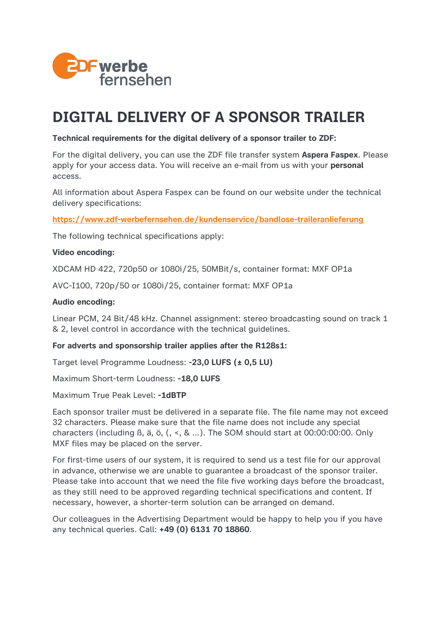

# **DIGITAL DELIVERY OF A SPONSOR TRAILER**

## **Technical requirements for the digital delivery of a sponsor trailer to ZDF:**

For the digital delivery, you can use the ZDF file transfer system **Aspera Faspex**. Please apply for your access data. You will receive an e-mail from us with your **personal** access.

All information about Aspera Faspex can be found on our website under the technical delivery specifications:

**<https://www.zdf-werbefernsehen.de/kundenservice/bandlose-traileranlieferung>**

The following technical specifications apply:

### **Video encoding:**

XDCAM HD 422, 720p50 or 1080i/25, 50MBit/s, container format: MXF OP1a

AVC-I100, 720p/50 or 1080i/25, container format: MXF OP1a

### **Audio encoding:**

Linear PCM, 24 Bit/48 kHz. Channel assignment: stereo broadcasting sound on track 1 & 2, level control in accordance with the technical guidelines.

#### **For adverts and sponsorship trailer applies after the R128s1:**

Target level Programme Loudness: **-23,0 LUFS (± 0,5 LU)**

Maximum Short-term Loudness: **-18,0 LUFS**

Maximum True Peak Level: **-1dBTP**

Each sponsor trailer must be delivered in a separate file. The file name may not exceed 32 characters. Please make sure that the file name does not include any special characters (including ß, ä, ö, (, <, & ...). The SOM should start at 00:00:00:00. Only MXF files may be placed on the server.

For first-time users of our system, it is required to send us a test file for our approval in advance, otherwise we are unable to guarantee a broadcast of the sponsor trailer. Please take into account that we need the file five working days before the broadcast, as they still need to be approved regarding technical specifications and content. If necessary, however, a shorter-term solution can be arranged on demand.

Our colleagues in the Advertising Department would be happy to help you if you have any technical queries. Call: **+49 (0) 6131 70 18860**.